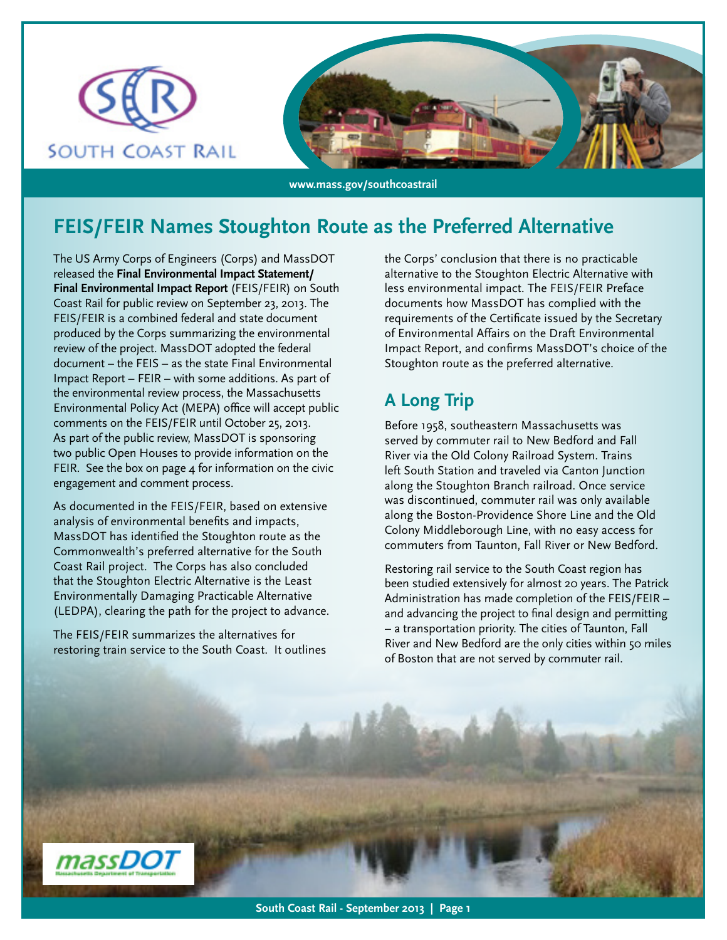

**www.mass.gov/southcoastrail**

# **FEIS/FEIR Names Stoughton Route as the Preferred Alternative**

The US Army Corps of Engineers (Corps) and MassDOT released the **Final Environmental Impact Statement/ Final Environmental Impact Report** (FEIS/FEIR) on South Coast Rail for public review on September 23, 2013. The FEIS/FEIR is a combined federal and state document produced by the Corps summarizing the environmental review of the project. MassDOT adopted the federal document – the FEIS – as the state Final Environmental Impact Report – FEIR – with some additions. As part of the environmental review process, the Massachusetts Environmental Policy Act (MEPA) office will accept public comments on the FEIS/FEIR until October 25, 2013. As part of the public review, MassDOT is sponsoring two public Open Houses to provide information on the FEIR. See the box on page  $4$  for information on the civic engagement and comment process.

As documented in the FEIS/FEIR, based on extensive analysis of environmental benefits and impacts, MassDOT has identified the Stoughton route as the Commonwealth's preferred alternative for the South Coast Rail project. The Corps has also concluded that the Stoughton Electric Alternative is the Least Environmentally Damaging Practicable Alternative (LEDPA), clearing the path for the project to advance.

The FEIS/FEIR summarizes the alternatives for restoring train service to the South Coast. It outlines the Corps' conclusion that there is no practicable alternative to the Stoughton Electric Alternative with less environmental impact. The FEIS/FEIR Preface documents how MassDOT has complied with the requirements of the Certificate issued by the Secretary of Environmental Affairs on the Draft Environmental Impact Report, and confirms MassDOT's choice of the Stoughton route as the preferred alternative.

## **A Long Trip**

Before 1958, southeastern Massachusetts was served by commuter rail to New Bedford and Fall River via the Old Colony Railroad System. Trains left South Station and traveled via Canton Junction along the Stoughton Branch railroad. Once service was discontinued, commuter rail was only available along the Boston-Providence Shore Line and the Old Colony Middleborough Line, with no easy access for commuters from Taunton, Fall River or New Bedford.

Restoring rail service to the South Coast region has been studied extensively for almost 20 years. The Patrick Administration has made completion of the FEIS/FEIR – and advancing the project to final design and permitting – a transportation priority. The cities of Taunton, Fall River and New Bedford are the only cities within 50 miles of Boston that are not served by commuter rail.

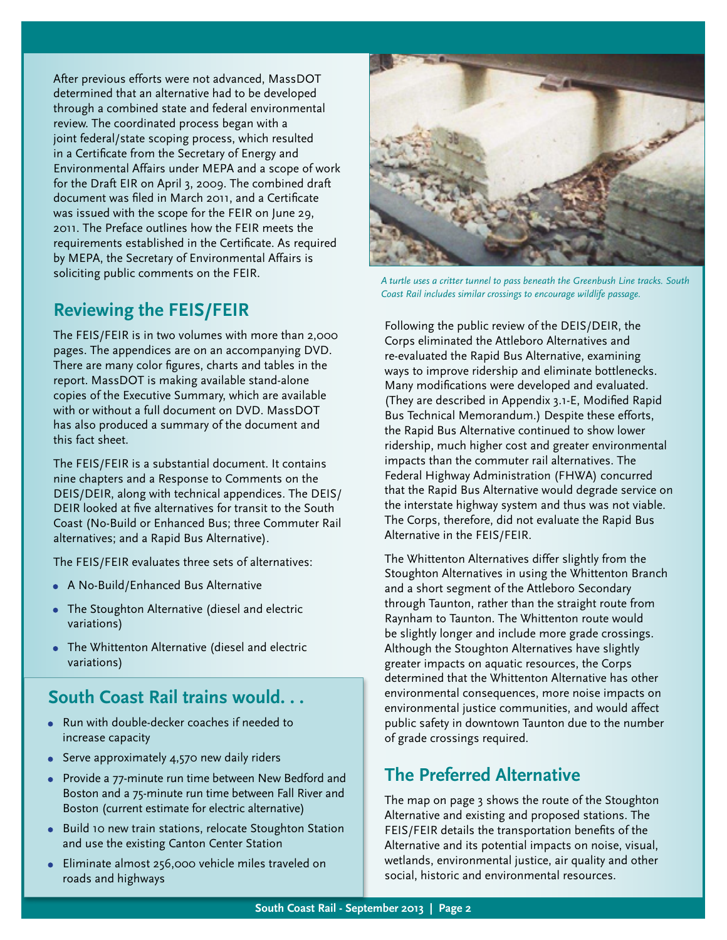After previous efforts were not advanced, MassDOT determined that an alternative had to be developed through a combined state and federal environmental review. The coordinated process began with a joint federal/state scoping process, which resulted in a Certificate from the Secretary of Energy and Environmental Affairs under MEPA and a scope of work for the Draft EIR on April 3, 2009. The combined draft document was filed in March 2011, and a Certificate was issued with the scope for the FEIR on June 29, 2011. The Preface outlines how the FEIR meets the requirements established in the Certificate. As required by MEPA, the Secretary of Environmental Affairs is soliciting public comments on the FEIR.

### **Reviewing the FEIS/FEIR**

The FEIS/FEIR is in two volumes with more than 2,000 pages. The appendices are on an accompanying DVD. There are many color figures, charts and tables in the report. MassDOT is making available stand-alone copies of the Executive Summary, which are available with or without a full document on DVD. MassDOT has also produced a summary of the document and this fact sheet.

The FEIS/FEIR is a substantial document. It contains nine chapters and a Response to Comments on the DEIS/DEIR, along with technical appendices. The DEIS/ DEIR looked at five alternatives for transit to the South Coast (No-Build or Enhanced Bus; three Commuter Rail alternatives; and a Rapid Bus Alternative).

The FEIS/FEIR evaluates three sets of alternatives:

- **•** A No-Build/Enhanced Bus Alternative
- **•** The Stoughton Alternative (diesel and electric variations)
- **•** The Whittenton Alternative (diesel and electric variations)

### **South Coast Rail trains would. . .**

- **•** Run with double-decker coaches if needed to increase capacity
- **•** Serve approximately 4,570 new daily riders
- **•** Provide a 77-minute run time between New Bedford and Boston and a 75-minute run time between Fall River and Boston (current estimate for electric alternative)
- **•** Build 10 new train stations, relocate Stoughton Station and use the existing Canton Center Station
- **•** Eliminate almost 256,000 vehicle miles traveled on roads and highways



*A turtle uses a critter tunnel to pass beneath the Greenbush Line tracks. South Coast Rail includes similar crossings to encourage wildlife passage.*

Following the public review of the DEIS/DEIR, the Corps eliminated the Attleboro Alternatives and re-evaluated the Rapid Bus Alternative, examining ways to improve ridership and eliminate bottlenecks. Many modifications were developed and evaluated. (They are described in Appendix 3.1-E, Modified Rapid Bus Technical Memorandum.) Despite these efforts, the Rapid Bus Alternative continued to show lower ridership, much higher cost and greater environmental impacts than the commuter rail alternatives. The Federal Highway Administration (FHWA) concurred that the Rapid Bus Alternative would degrade service on the interstate highway system and thus was not viable. The Corps, therefore, did not evaluate the Rapid Bus Alternative in the FEIS/FEIR.

The Whittenton Alternatives differ slightly from the Stoughton Alternatives in using the Whittenton Branch and a short segment of the Attleboro Secondary through Taunton, rather than the straight route from Raynham to Taunton. The Whittenton route would be slightly longer and include more grade crossings. Although the Stoughton Alternatives have slightly greater impacts on aquatic resources, the Corps determined that the Whittenton Alternative has other environmental consequences, more noise impacts on environmental justice communities, and would affect public safety in downtown Taunton due to the number of grade crossings required.

### **The Preferred Alternative**

The map on page 3 shows the route of the Stoughton Alternative and existing and proposed stations. The FEIS/FEIR details the transportation benefits of the Alternative and its potential impacts on noise, visual, wetlands, environmental justice, air quality and other social, historic and environmental resources.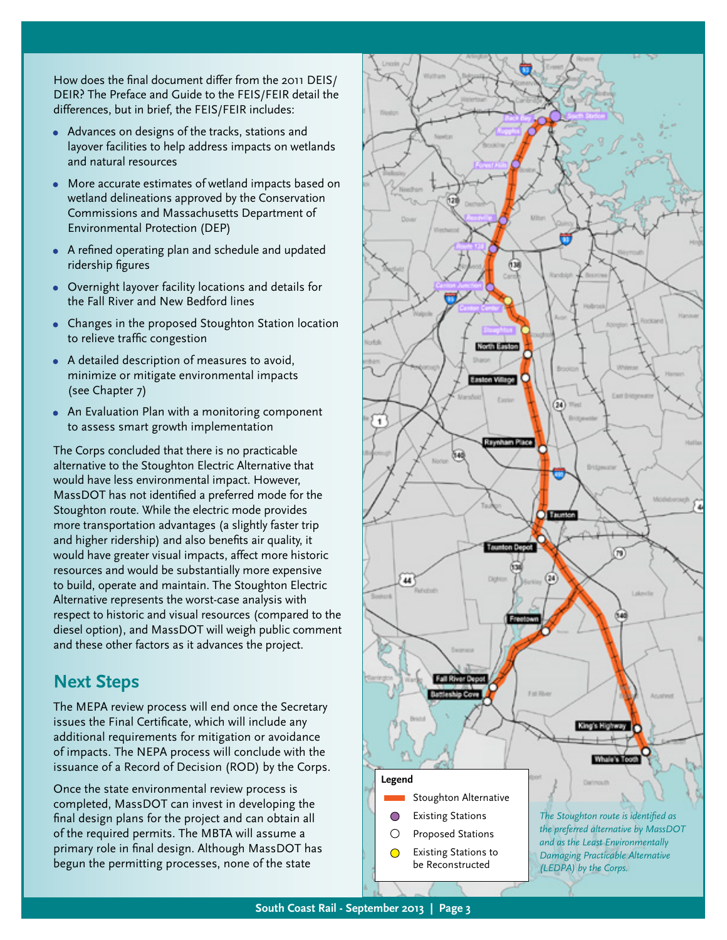How does the final document differ from the 2011 DEIS/ DEIR? The Preface and Guide to the FEIS/FEIR detail the differences, but in brief, the FEIS/FEIR includes:

- **•** Advances on designs of the tracks, stations and layover facilities to help address impacts on wetlands and natural resources
- **•** More accurate estimates of wetland impacts based on wetland delineations approved by the Conservation Commissions and Massachusetts Department of Environmental Protection (DEP)
- **•** A refined operating plan and schedule and updated ridership figures
- **•** Overnight layover facility locations and details for the Fall River and New Bedford lines
- **•** Changes in the proposed Stoughton Station location to relieve traffic congestion
- **•** A detailed description of measures to avoid, minimize or mitigate environmental impacts (see Chapter 7)
- **•** An Evaluation Plan with a monitoring component to assess smart growth implementation

The Corps concluded that there is no practicable alternative to the Stoughton Electric Alternative that would have less environmental impact. However, MassDOT has not identified a preferred mode for the Stoughton route. While the electric mode provides more transportation advantages (a slightly faster trip and higher ridership) and also benefits air quality, it would have greater visual impacts, affect more historic resources and would be substantially more expensive to build, operate and maintain. The Stoughton Electric Alternative represents the worst-case analysis with respect to historic and visual resources (compared to the diesel option), and MassDOT will weigh public comment and these other factors as it advances the project.

### **Next Steps**

The MEPA review process will end once the Secretary issues the Final Certificate, which will include any additional requirements for mitigation or avoidance of impacts. The NEPA process will conclude with the issuance of a Record of Decision (ROD) by the Corps.

Once the state environmental review process is completed, MassDOT can invest in developing the final design plans for the project and can obtain all of the required permits. The MBTA will assume a primary role in final design. Although MassDOT has begun the permitting processes, none of the state